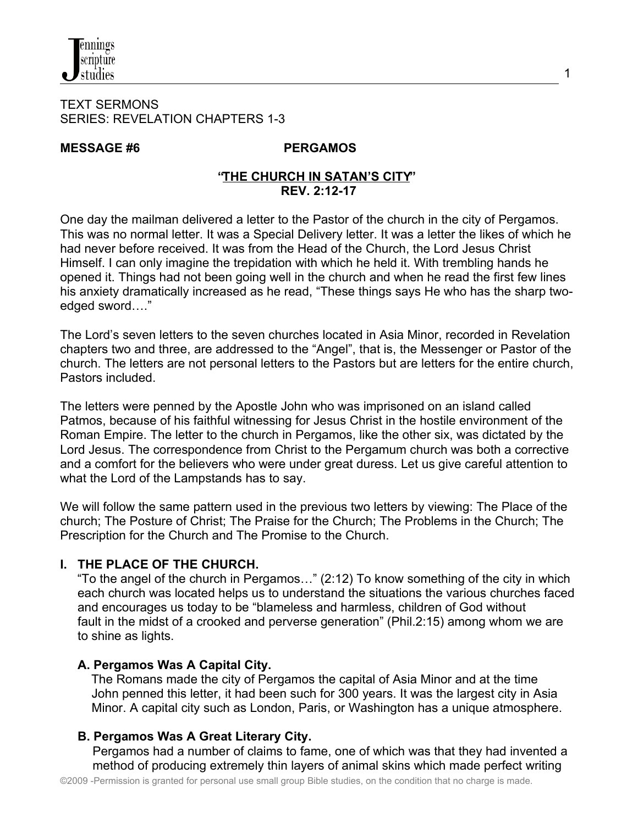#### TEXT SERMONS SERIES: REVELATION CHAPTERS 1-3

#### MESSAGE #6 PERGAMOS

#### **"THE CHURCH IN SATAN'S CITY" REV. 2:12-17**

One day the mailman delivered a letter to the Pastor of the church in the city of Pergamos. This was no normal letter. It was a Special Delivery letter. It was a letter the likes of which he had never before received. It was from the Head of the Church, the Lord Jesus Christ Himself. I can only imagine the trepidation with which he held it. With trembling hands he opened it. Things had not been going well in the church and when he read the first few lines his anxiety dramatically increased as he read, "These things says He who has the sharp twoedged sword…."

The Lord's seven letters to the seven churches located in Asia Minor, recorded in Revelation chapters two and three, are addressed to the "Angel", that is, the Messenger or Pastor of the church. The letters are not personal letters to the Pastors but are letters for the entire church, Pastors included.

The letters were penned by the Apostle John who was imprisoned on an island called Patmos, because of his faithful witnessing for Jesus Christ in the hostile environment of the Roman Empire. The letter to the church in Pergamos, like the other six, was dictated by the Lord Jesus. The correspondence from Christ to the Pergamum church was both a corrective and a comfort for the believers who were under great duress. Let us give careful attention to what the Lord of the Lampstands has to say.

We will follow the same pattern used in the previous two letters by viewing: The Place of the church; The Posture of Christ; The Praise for the Church; The Problems in the Church; The Prescription for the Church and The Promise to the Church.

## **I. THE PLACE OF THE CHURCH.**

"To the angel of the church in Pergamos…" (2:12) To know something of the city in which each church was located helps us to understand the situations the various churches faced and encourages us today to be "blameless and harmless, children of God without fault in the midst of a crooked and perverse generation" (Phil.2:15) among whom we are to shine as lights.

## **A. Pergamos Was A Capital City.**

The Romans made the city of Pergamos the capital of Asia Minor and at the time John penned this letter, it had been such for 300 years. It was the largest city in Asia Minor. A capital city such as London, Paris, or Washington has a unique atmosphere.

## **B. Pergamos Was A Great Literary City.**

Pergamos had a number of claims to fame, one of which was that they had invented a method of producing extremely thin layers of animal skins which made perfect writing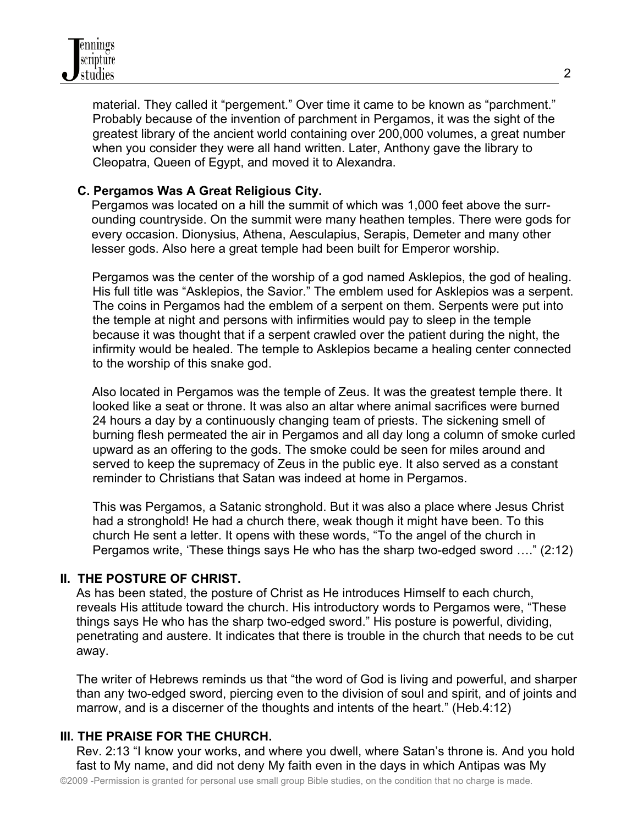

material. They called it "pergement." Over time it came to be known as "parchment." Probably because of the invention of parchment in Pergamos, it was the sight of the greatest library of the ancient world containing over 200,000 volumes, a great number when you consider they were all hand written. Later, Anthony gave the library to Cleopatra, Queen of Egypt, and moved it to Alexandra.

#### **C. Pergamos Was A Great Religious City.**

 Pergamos was located on a hill the summit of which was 1,000 feet above the surr ounding countryside. On the summit were many heathen temples. There were gods for every occasion. Dionysius, Athena, Aesculapius, Serapis, Demeter and many other lesser gods. Also here a great temple had been built for Emperor worship.

 Pergamos was the center of the worship of a god named Asklepios, the god of healing. His full title was "Asklepios, the Savior." The emblem used for Asklepios was a serpent. The coins in Pergamos had the emblem of a serpent on them. Serpents were put into the temple at night and persons with infirmities would pay to sleep in the temple because it was thought that if a serpent crawled over the patient during the night, the infirmity would be healed. The temple to Asklepios became a healing center connected to the worship of this snake god.

 Also located in Pergamos was the temple of Zeus. It was the greatest temple there. It looked like a seat or throne. It was also an altar where animal sacrifices were burned 24 hours a day by a continuously changing team of priests. The sickening smell of burning flesh permeated the air in Pergamos and all day long a column of smoke curled upward as an offering to the gods. The smoke could be seen for miles around and served to keep the supremacy of Zeus in the public eye. It also served as a constant reminder to Christians that Satan was indeed at home in Pergamos.

This was Pergamos, a Satanic stronghold. But it was also a place where Jesus Christ had a stronghold! He had a church there, weak though it might have been. To this church He sent a letter. It opens with these words, "To the angel of the church in Pergamos write, 'These things says He who has the sharp two-edged sword …." (2:12)

#### **II. THE POSTURE OF CHRIST.**

As has been stated, the posture of Christ as He introduces Himself to each church, reveals His attitude toward the church. His introductory words to Pergamos were, "These things says He who has the sharp two-edged sword." His posture is powerful, dividing, penetrating and austere. It indicates that there is trouble in the church that needs to be cut away.

The writer of Hebrews reminds us that "the word of God is living and powerful, and sharper than any two-edged sword, piercing even to the division of soul and spirit, and of joints and marrow, and is a discerner of the thoughts and intents of the heart." (Heb.4:12)

#### **III. THE PRAISE FOR THE CHURCH.**

Rev. 2:13 "I know your works, and where you dwell, where Satan's throne is*.* And you hold fast to My name, and did not deny My faith even in the days in which Antipas was My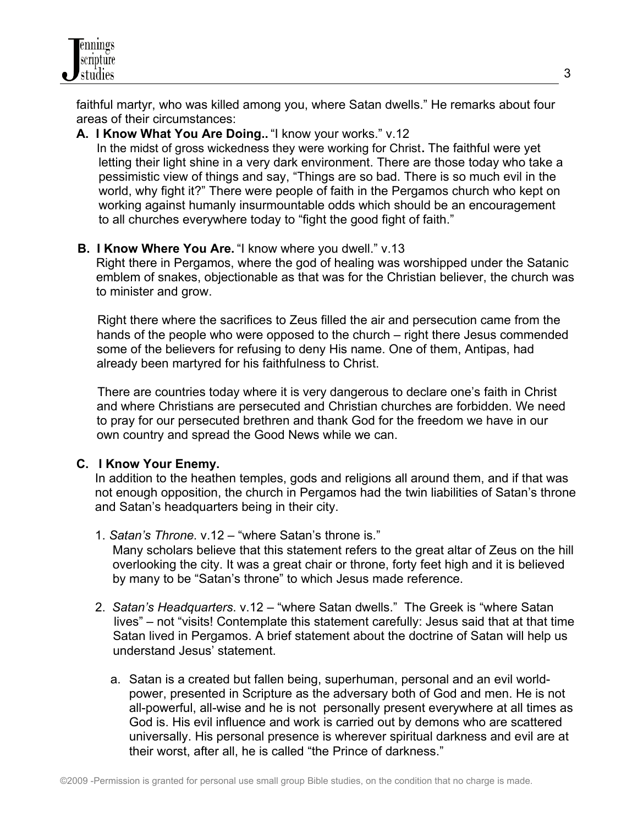faithful martyr, who was killed among you, where Satan dwells." He remarks about four areas of their circumstances:

#### **A. I Know What You Are Doing..** "I know your works." v.12

In the midst of gross wickedness they were working for Christ**.** The faithful were yet letting their light shine in a very dark environment. There are those today who take a pessimistic view of things and say, "Things are so bad. There is so much evil in the world, why fight it?" There were people of faith in the Pergamos church who kept on working against humanly insurmountable odds which should be an encouragement to all churches everywhere today to "fight the good fight of faith."

## **B. I Know Where You Are.** "I know where you dwell." v.13

 Right there in Pergamos, where the god of healing was worshipped under the Satanic emblem of snakes, objectionable as that was for the Christian believer, the church was to minister and grow.

 Right there where the sacrifices to Zeus filled the air and persecution came from the hands of the people who were opposed to the church – right there Jesus commended some of the believers for refusing to deny His name. One of them, Antipas, had already been martyred for his faithfulness to Christ.

 There are countries today where it is very dangerous to declare one's faith in Christ and where Christians are persecuted and Christian churches are forbidden. We need to pray for our persecuted brethren and thank God for the freedom we have in our own country and spread the Good News while we can.

## **C. I Know Your Enemy.**

In addition to the heathen temples, gods and religions all around them, and if that was not enough opposition, the church in Pergamos had the twin liabilities of Satan's throne and Satan's headquarters being in their city.

1. *Satan's Throne*. v.12 – "where Satan's throne is."

 Many scholars believe that this statement refers to the great altar of Zeus on the hill overlooking the city. It was a great chair or throne, forty feet high and it is believed by many to be "Satan's throne" to which Jesus made reference.

- 2. *Satan's Headquarters*. v.12 "where Satan dwells." The Greek is "where Satan lives" – not "visits! Contemplate this statement carefully: Jesus said that at that time Satan lived in Pergamos. A brief statement about the doctrine of Satan will help us understand Jesus' statement.
	- a. Satan is a created but fallen being, superhuman, personal and an evil worldpower, presented in Scripture as the adversary both of God and men. He is not all-powerful, all-wise and he is not personally present everywhere at all times as God is. His evil influence and work is carried out by demons who are scattered universally. His personal presence is wherever spiritual darkness and evil are at their worst, after all, he is called "the Prince of darkness."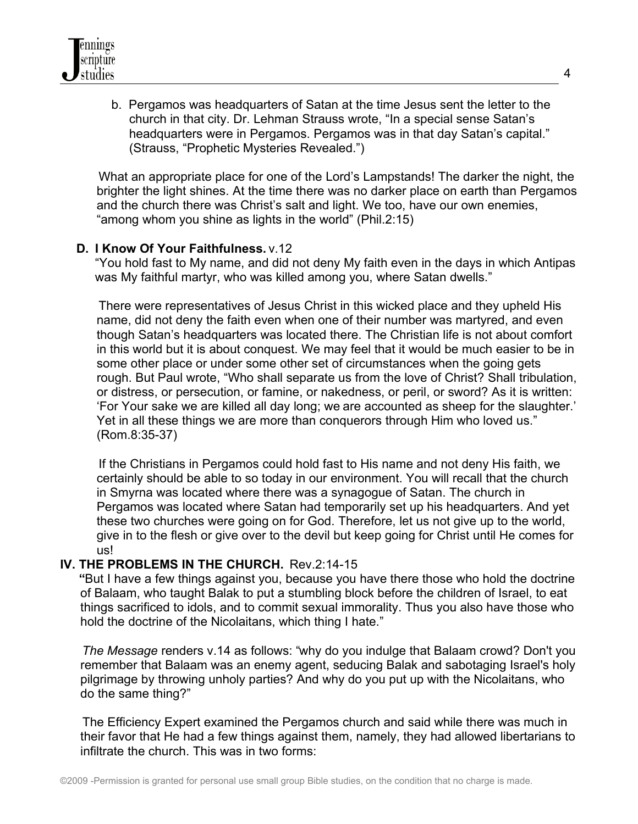b. Pergamos was headquarters of Satan at the time Jesus sent the letter to the church in that city. Dr. Lehman Strauss wrote, "In a special sense Satan's headquarters were in Pergamos. Pergamos was in that day Satan's capital." (Strauss, "Prophetic Mysteries Revealed.")

 What an appropriate place for one of the Lord's Lampstands! The darker the night, the brighter the light shines. At the time there was no darker place on earth than Pergamos and the church there was Christ's salt and light. We too, have our own enemies, "among whom you shine as lights in the world" (Phil.2:15)

#### **D. I Know Of Your Faithfulness.** v.12

"You hold fast to My name, and did not deny My faith even in the days in which Antipas was My faithful martyr, who was killed among you, where Satan dwells."

 There were representatives of Jesus Christ in this wicked place and they upheld His name, did not deny the faith even when one of their number was martyred, and even though Satan's headquarters was located there. The Christian life is not about comfort in this world but it is about conquest. We may feel that it would be much easier to be in some other place or under some other set of circumstances when the going gets rough. But Paul wrote, "Who shall separate us from the love of Christ? Shall tribulation, or distress, or persecution, or famine, or nakedness, or peril, or sword? As it is written: 'For Your sake we are killed all day long; we are accounted as sheep for the slaughter.' Yet in all these things we are more than conquerors through Him who loved us." (Rom.8:35-37)

 If the Christians in Pergamos could hold fast to His name and not deny His faith, we certainly should be able to so today in our environment. You will recall that the church in Smyrna was located where there was a synagogue of Satan. The church in Pergamos was located where Satan had temporarily set up his headquarters. And yet these two churches were going on for God. Therefore, let us not give up to the world, give in to the flesh or give over to the devil but keep going for Christ until He comes for us!

#### **IV. THE PROBLEMS IN THE CHURCH.** Rev.2:14-15

 **"**But I have a few things against you, because you have there those who hold the doctrine of Balaam, who taught Balak to put a stumbling block before the children of Israel, to eat things sacrificed to idols, and to commit sexual immorality. Thus you also have those who hold the doctrine of the Nicolaitans, which thing I hate."

 *The Message* renders v.14 as follows: "why do you indulge that Balaam crowd? Don't you remember that Balaam was an enemy agent, seducing Balak and sabotaging Israel's holy pilgrimage by throwing unholy parties? And why do you put up with the Nicolaitans, who do the same thing?"

 The Efficiency Expert examined the Pergamos church and said while there was much in their favor that He had a few things against them, namely, they had allowed libertarians to infiltrate the church. This was in two forms: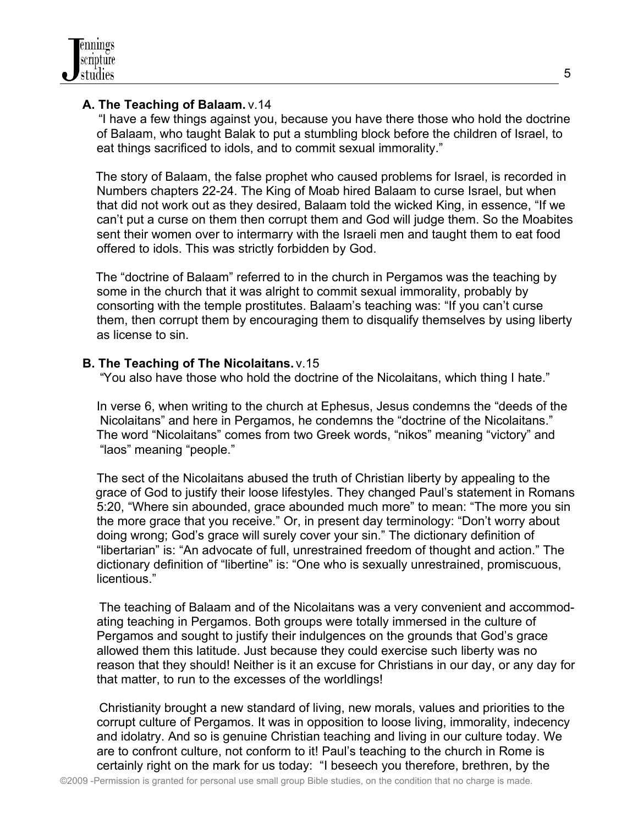# **A. The Teaching of Balaam.** v.14

 "I have a few things against you, because you have there those who hold the doctrine of Balaam, who taught Balak to put a stumbling block before the children of Israel, to eat things sacrificed to idols, and to commit sexual immorality."

 The story of Balaam, the false prophet who caused problems for Israel, is recorded in Numbers chapters 22-24. The King of Moab hired Balaam to curse Israel, but when that did not work out as they desired, Balaam told the wicked King, in essence, "If we can't put a curse on them then corrupt them and God will judge them. So the Moabites sent their women over to intermarry with the Israeli men and taught them to eat food offered to idols. This was strictly forbidden by God.

 The "doctrine of Balaam" referred to in the church in Pergamos was the teaching by some in the church that it was alright to commit sexual immorality, probably by consorting with the temple prostitutes. Balaam's teaching was: "If you can't curse them, then corrupt them by encouraging them to disqualify themselves by using liberty as license to sin.

# **B. The Teaching of The Nicolaitans.** v.15

"You also have those who hold the doctrine of the Nicolaitans, which thing I hate."

In verse 6, when writing to the church at Ephesus, Jesus condemns the "deeds of the Nicolaitans" and here in Pergamos, he condemns the "doctrine of the Nicolaitans." The word "Nicolaitans" comes from two Greek words, "nikos" meaning "victory" and "laos" meaning "people."

The sect of the Nicolaitans abused the truth of Christian liberty by appealing to the grace of God to justify their loose lifestyles. They changed Paul's statement in Romans 5:20, "Where sin abounded, grace abounded much more" to mean: "The more you sin the more grace that you receive." Or, in present day terminology: "Don't worry about doing wrong; God's grace will surely cover your sin." The dictionary definition of "libertarian" is: "An advocate of full, unrestrained freedom of thought and action." The dictionary definition of "libertine" is: "One who is sexually unrestrained, promiscuous, licentious."

 The teaching of Balaam and of the Nicolaitans was a very convenient and accommodating teaching in Pergamos. Both groups were totally immersed in the culture of Pergamos and sought to justify their indulgences on the grounds that God's grace allowed them this latitude. Just because they could exercise such liberty was no reason that they should! Neither is it an excuse for Christians in our day, or any day for that matter, to run to the excesses of the worldlings!

 Christianity brought a new standard of living, new morals, values and priorities to the corrupt culture of Pergamos. It was in opposition to loose living, immorality, indecency and idolatry. And so is genuine Christian teaching and living in our culture today. We are to confront culture, not conform to it! Paul's teaching to the church in Rome is certainly right on the mark for us today: "I beseech you therefore, brethren, by the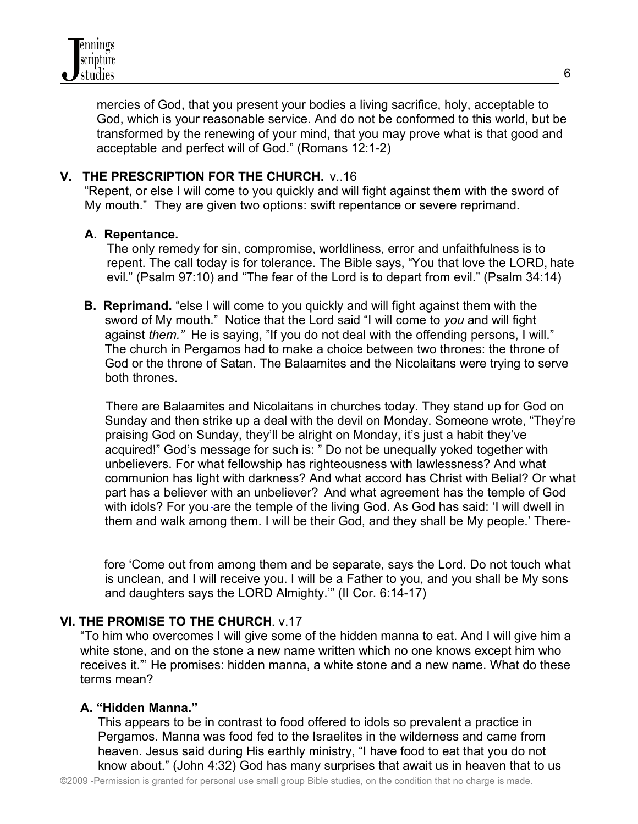mercies of God, that you present your bodies a living sacrifice, holy, acceptable to God, which is your reasonable service. And do not be conformed to this world, but be transformed by the renewing of your mind, that you may prove what is that good and acceptable and perfect will of God." (Romans 12:1-2)

#### **V. THE PRESCRIPTION FOR THE CHURCH.** v..16

 "Repent, or else I will come to you quickly and will fight against them with the sword of My mouth." They are given two options: swift repentance or severe reprimand.

#### **A. Repentance.**

 The only remedy for sin, compromise, worldliness, error and unfaithfulness is to repent. The call today is for tolerance. The Bible says, "You that love the LORD, hate evil." (Psalm 97:10) and "The fear of the Lord is to depart from evil." (Psalm 34:14)

**B. Reprimand.** "else I will come to you quickly and will fight against them with the sword of My mouth." Notice that the Lord said "I will come to *you* and will fight against *them."* He is saying, "If you do not deal with the offending persons, I will." The church in Pergamos had to make a choice between two thrones: the throne of God or the throne of Satan. The Balaamites and the Nicolaitans were trying to serve both thrones.

 There are Balaamites and Nicolaitans in churches today. They stand up for God on Sunday and then strike up a deal with the devil on Monday. Someone wrote, "They're praising God on Sunday, they'll be alright on Monday, it's just a habit they've acquired!" God's message for such is: " Do not be unequally yoked together with unbelievers. For what fellowship has righteousness with lawlessness? And what communion has light with darkness? And what accord has Christ with Belial? Or what part has a believer with an unbeliever? And what agreement has the temple of God with idols? For you are the temple of the living God. As God has said: 'I will dwell in them and walk among them. I will be their God, and they shall be My people.' There-

 fore 'Come out from among them and be separate, says the Lord. Do not touch what is unclean, and I will receive you. I will be a Father to you, and you shall be My sons and daughters says the LORD Almighty.'" (II Cor. 6:14-17)

#### **VI. THE PROMISE TO THE CHURCH**. v.17

"To him who overcomes I will give some of the hidden manna to eat. And I will give him a white stone, and on the stone a new name written which no one knows except him who receives it."' He promises: hidden manna, a white stone and a new name. What do these terms mean?

#### **A. "Hidden Manna."**

 This appears to be in contrast to food offered to idols so prevalent a practice in Pergamos. Manna was food fed to the Israelites in the wilderness and came from heaven. Jesus said during His earthly ministry, "I have food to eat that you do not know about." (John 4:32) God has many surprises that await us in heaven that to us